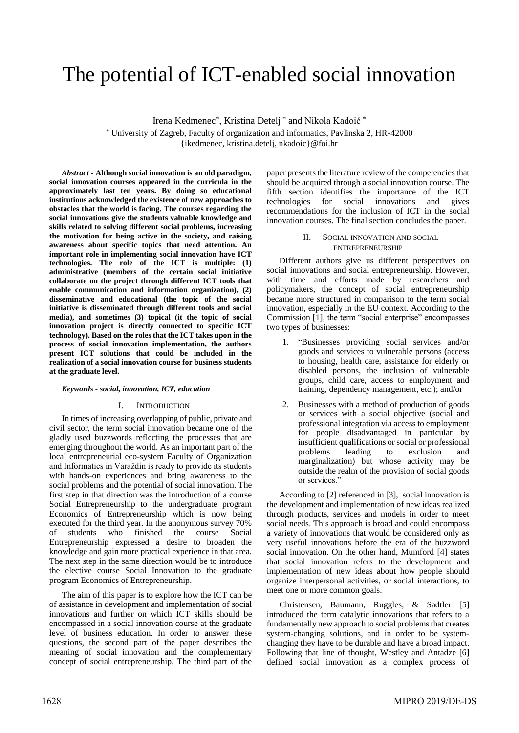# The potential of ICT-enabled social innovation

Irena Kedmenec\*, Kristina Detelj \* and Nikola Kadoić \*

\* University of Zagreb, Faculty of organization and informatics, Pavlinska 2, HR-42000 {ikedmenec, kristina.detelj, nkadoic}@foi.hr

*Abstract* **- Although social innovation is an old paradigm, social innovation courses appeared in the curricula in the approximately last ten years. By doing so educational institutions acknowledged the existence of new approaches to obstacles that the world is facing. The courses regarding the social innovations give the students valuable knowledge and skills related to solving different social problems, increasing the motivation for being active in the society, and raising awareness about specific topics that need attention. An important role in implementing social innovation have ICT technologies. The role of the ICT is multiple: (1) administrative (members of the certain social initiative collaborate on the project through different ICT tools that enable communication and information organization), (2) disseminative and educational (the topic of the social initiative is disseminated through different tools and social media), and sometimes (3) topical (it the topic of social innovation project is directly connected to specific ICT technology). Based on the roles that the ICT takes upon in the process of social innovation implementation, the authors present ICT solutions that could be included in the realization of a social innovation course for business students at the graduate level.**

#### *Keywords* **-** *social, innovation, ICT, education*

#### I. INTRODUCTION

In times of increasing overlapping of public, private and civil sector, the term social innovation became one of the gladly used buzzwords reflecting the processes that are emerging throughout the world. As an important part of the local entrepreneurial eco-system Faculty of Organization and Informatics in Varaždin is ready to provide its students with hands-on experiences and bring awareness to the social problems and the potential of social innovation. The first step in that direction was the introduction of a course Social Entrepreneurship to the undergraduate program Economics of Entrepreneurship which is now being executed for the third year. In the anonymous survey 70% of students who finished the course Social Entrepreneurship expressed a desire to broaden the knowledge and gain more practical experience in that area. The next step in the same direction would be to introduce the elective course Social Innovation to the graduate program Economics of Entrepreneurship.

The aim of this paper is to explore how the ICT can be of assistance in development and implementation of social innovations and further on which ICT skills should be encompassed in a social innovation course at the graduate level of business education. In order to answer these questions, the second part of the paper describes the meaning of social innovation and the complementary concept of social entrepreneurship. The third part of the

paper presents the literature review of the competenciesthat should be acquired through a social innovation course. The fifth section identifies the importance of the ICT technologies for social innovations and gives technologies for social innovations and gives recommendations for the inclusion of ICT in the social innovation courses. The final section concludes the paper.

### II. SOCIAL INNOVATION AND SOCIAL ENTREPRENEURSHIP

Different authors give us different perspectives on social innovations and social entrepreneurship. However, with time and efforts made by researchers and policymakers, the concept of social entrepreneurship became more structured in comparison to the term social innovation, especially in the EU context. According to the Commission [1], the term "social enterprise" encompasses two types of businesses:

- 1. "Businesses providing social services and/or goods and services to vulnerable persons (access to housing, health care, assistance for elderly or disabled persons, the inclusion of vulnerable groups, child care, access to employment and training, dependency management, etc.); and/or
- 2. Businesses with a method of production of goods or services with a social objective (social and professional integration via access to employment for people disadvantaged in particular by insufficient qualifications or social or professional problems leading to exclusion and marginalization) but whose activity may be outside the realm of the provision of social goods or services."

According to [2] referenced in [3], social innovation is the development and implementation of new ideas realized through products, services and models in order to meet social needs. This approach is broad and could encompass a variety of innovations that would be considered only as very useful innovations before the era of the buzzword social innovation. On the other hand, Mumford [4] states that social innovation refers to the development and implementation of new ideas about how people should organize interpersonal activities, or social interactions, to meet one or more common goals.

Christensen, Baumann, Ruggles, & Sadtler [5] introduced the term catalytic innovations that refers to a fundamentally new approach to social problems that creates system-changing solutions, and in order to be systemchanging they have to be durable and have a broad impact. Following that line of thought, Westley and Antadze [6] defined social innovation as a complex process of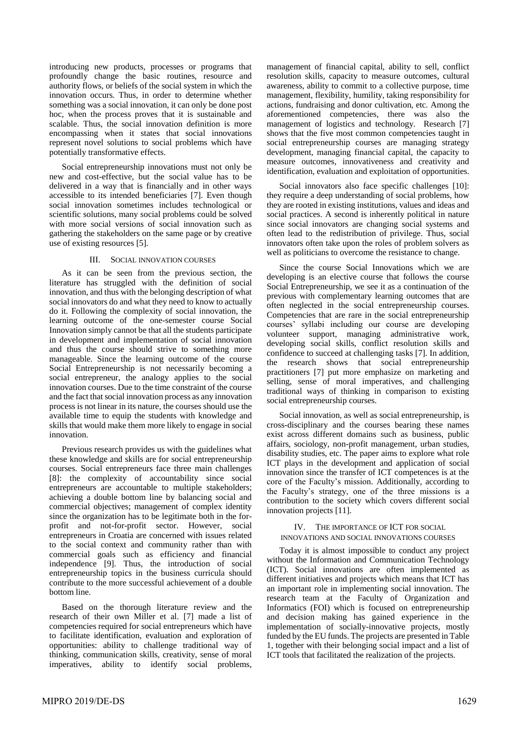introducing new products, processes or programs that profoundly change the basic routines, resource and authority flows, or beliefs of the social system in which the innovation occurs. Thus, in order to determine whether something was a social innovation, it can only be done post hoc, when the process proves that it is sustainable and scalable. Thus, the social innovation definition is more encompassing when it states that social innovations represent novel solutions to social problems which have potentially transformative effects.

Social entrepreneurship innovations must not only be new and cost-effective, but the social value has to be delivered in a way that is financially and in other ways accessible to its intended beneficiaries [7]. Even though social innovation sometimes includes technological or scientific solutions, many social problems could be solved with more social versions of social innovation such as gathering the stakeholders on the same page or by creative use of existing resources [5].

## III. SOCIAL INNOVATION COURSES

As it can be seen from the previous section, the literature has struggled with the definition of social innovation, and thus with the belonging description of what social innovators do and what they need to know to actually do it. Following the complexity of social innovation, the learning outcome of the one-semester course Social Innovation simply cannot be that all the students participate in development and implementation of social innovation and thus the course should strive to something more manageable. Since the learning outcome of the course Social Entrepreneurship is not necessarily becoming a social entrepreneur, the analogy applies to the social innovation courses. Due to the time constraint of the course and the fact that social innovation process as any innovation process is not linear in its nature, the courses should use the available time to equip the students with knowledge and skills that would make them more likely to engage in social innovation.

Previous research provides us with the guidelines what these knowledge and skills are for social entrepreneurship courses. Social entrepreneurs face three main challenges [8]: the complexity of accountability since social entrepreneurs are accountable to multiple stakeholders; achieving a double bottom line by balancing social and commercial objectives; management of complex identity since the organization has to be legitimate both in the forprofit and not-for-profit sector. However, social entrepreneurs in Croatia are concerned with issues related to the social context and community rather than with commercial goals such as efficiency and financial independence [9]. Thus, the introduction of social entrepreneurship topics in the business curricula should contribute to the more successful achievement of a double bottom line.

Based on the thorough literature review and the research of their own Miller et al. [7] made a list of competencies required for social entrepreneurs which have to facilitate identification, evaluation and exploration of opportunities: ability to challenge traditional way of thinking, communication skills, creativity, sense of moral imperatives, ability to identify social problems,

management of financial capital, ability to sell, conflict resolution skills, capacity to measure outcomes, cultural awareness, ability to commit to a collective purpose, time management, flexibility, humility, taking responsibility for actions, fundraising and donor cultivation, etc. Among the aforementioned competencies, there was also the management of logistics and technology. Research [7] shows that the five most common competencies taught in social entrepreneurship courses are managing strategy development, managing financial capital, the capacity to measure outcomes, innovativeness and creativity and identification, evaluation and exploitation of opportunities.

Social innovators also face specific challenges [10]: they require a deep understanding of social problems, how they are rooted in existing institutions, values and ideas and social practices. A second is inherently political in nature since social innovators are changing social systems and often lead to the redistribution of privilege. Thus, social innovators often take upon the roles of problem solvers as well as politicians to overcome the resistance to change.

Since the course Social Innovations which we are developing is an elective course that follows the course Social Entrepreneurship, we see it as a continuation of the previous with complementary learning outcomes that are often neglected in the social entrepreneurship courses. Competencies that are rare in the social entrepreneurship courses' syllabi including our course are developing volunteer support, managing administrative work, developing social skills, conflict resolution skills and confidence to succeed at challenging tasks [7]. In addition, the research shows that social entrepreneurship practitioners [7] put more emphasize on marketing and selling, sense of moral imperatives, and challenging traditional ways of thinking in comparison to existing social entrepreneurship courses.

Social innovation, as well as social entrepreneurship, is cross-disciplinary and the courses bearing these names exist across different domains such as business, public affairs, sociology, non-profit management, urban studies, disability studies, etc. The paper aims to explore what role ICT plays in the development and application of social innovation since the transfer of ICT competences is at the core of the Faculty's mission. Additionally, according to the Faculty's strategy, one of the three missions is a contribution to the society which covers different social innovation projects [11].

# IV. THE IMPORTANCE OF ICT FOR SOCIAL INNOVATIONS AND SOCIAL INNOVATIONS COURSES

Today it is almost impossible to conduct any project without the Information and Communication Technology (ICT). Social innovations are often implemented as different initiatives and projects which means that ICT has an important role in implementing social innovation. The research team at the Faculty of Organization and Informatics (FOI) which is focused on entrepreneurship and decision making has gained experience in the implementation of socially-innovative projects, mostly funded by the EU funds. The projects are presented in Table 1, together with their belonging social impact and a list of ICT tools that facilitated the realization of the projects.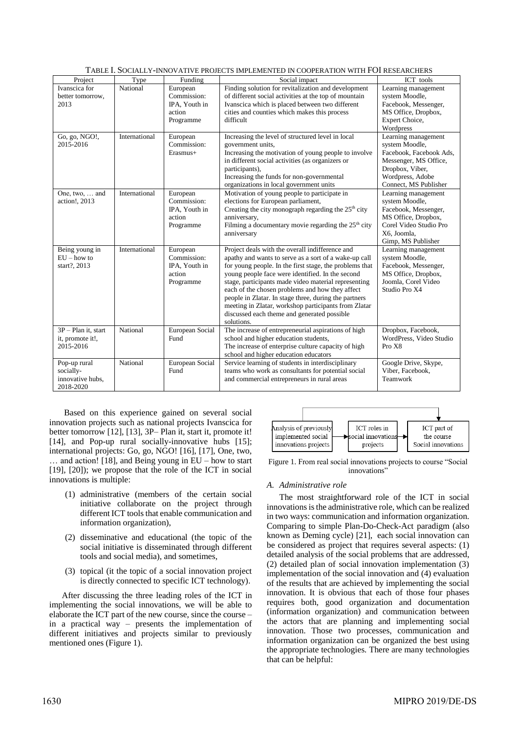| TABLE I. SOCIALLY-INNOVATIVE PROJECTS IMPLEMENTED IN COOPERATION WITH FOI RESEARCHERS |               |                                                                 |                                                                                                                                                                                                                                                                                                                                                                                                                                                                                                                  |                                                                                                                                                           |
|---------------------------------------------------------------------------------------|---------------|-----------------------------------------------------------------|------------------------------------------------------------------------------------------------------------------------------------------------------------------------------------------------------------------------------------------------------------------------------------------------------------------------------------------------------------------------------------------------------------------------------------------------------------------------------------------------------------------|-----------------------------------------------------------------------------------------------------------------------------------------------------------|
| Project                                                                               | Type          | Funding                                                         | Social impact                                                                                                                                                                                                                                                                                                                                                                                                                                                                                                    | ICT tools                                                                                                                                                 |
| Ivanscica for<br>better tomorrow,<br>2013                                             | National      | European<br>Commission:<br>IPA, Youth in<br>action<br>Programme | Finding solution for revitalization and development<br>of different social activities at the top of mountain<br>Ivanscica which is placed between two different<br>cities and counties which makes this process<br>difficult                                                                                                                                                                                                                                                                                     | Learning management<br>system Moodle,<br>Facebook, Messenger,<br>MS Office, Dropbox,<br>Expert Choice,<br>Wordpress                                       |
| Go, go, NGO!,<br>2015-2016                                                            | International | European<br>Commission:<br>Erasmus+                             | Increasing the level of structured level in local<br>government units,<br>Increasing the motivation of young people to involve<br>in different social activities (as organizers or<br>participants),<br>Increasing the funds for non-governmental<br>organizations in local government units                                                                                                                                                                                                                     | Learning management<br>system Moodle,<br>Facebook, Facebook Ads,<br>Messenger, MS Office,<br>Dropbox, Viber,<br>Wordpress, Adobe<br>Connect, MS Publisher |
| One, two,  and<br>action!, 2013                                                       | International | European<br>Commission:<br>IPA, Youth in<br>action<br>Programme | Motivation of young people to participate in<br>elections for European parliament,<br>Creating the city monograph regarding the 25 <sup>th</sup> city<br>anniversary,<br>Filming a documentary movie regarding the $25th$ city<br>anniversary                                                                                                                                                                                                                                                                    | Learning management<br>system Moodle,<br>Facebook, Messenger,<br>MS Office, Dropbox,<br>Corel Video Studio Pro<br>X6, Joomla,<br>Gimp, MS Publisher       |
| Being young in<br>$EU$ – how to<br>start?, 2013                                       | International | European<br>Commission:<br>IPA, Youth in<br>action<br>Programme | Project deals with the overall indifference and<br>apathy and wants to serve as a sort of a wake-up call<br>for young people. In the first stage, the problems that<br>young people face were identified. In the second<br>stage, participants made video material representing<br>each of the chosen problems and how they affect<br>people in Zlatar. In stage three, during the partners<br>meeting in Zlatar, workshop participants from Zlatar<br>discussed each theme and generated possible<br>solutions. | Learning management<br>system Moodle,<br>Facebook, Messenger,<br>MS Office, Dropbox,<br>Joomla, Corel Video<br>Studio Pro X4                              |
| $3P - Plan$ it, start<br>it, promote it!,<br>2015-2016                                | National      | European Social<br>Fund                                         | The increase of entrepreneurial aspirations of high<br>school and higher education students,<br>The increase of enterprise culture capacity of high<br>school and higher education educators                                                                                                                                                                                                                                                                                                                     | Dropbox, Facebook,<br>WordPress, Video Studio<br>Pro X8                                                                                                   |
| Pop-up rural<br>socially-<br>innovative hubs.<br>2018-2020                            | National      | European Social<br>Fund                                         | Service learning of students in interdisciplinary<br>teams who work as consultants for potential social<br>and commercial entrepreneurs in rural areas                                                                                                                                                                                                                                                                                                                                                           | Google Drive, Skype,<br>Viber, Facebook,<br>Teamwork                                                                                                      |

Based on this experience gained on several social innovation projects such as national projects Ivanscica for better tomorrow [12], [13], 3P– Plan it, start it, promote it! [14], and Pop-up rural socially-innovative hubs [15]; international projects: Go, go, NGO! [16], [17], One, two, … and action! [18], and Being young in EU – how to start [19], [20]); we propose that the role of the ICT in social innovations is multiple:

- (1) administrative (members of the certain social initiative collaborate on the project through different ICT tools that enable communication and information organization),
- (2) disseminative and educational (the topic of the social initiative is disseminated through different tools and social media), and sometimes,
- (3) topical (it the topic of a social innovation project is directly connected to specific ICT technology).

After discussing the three leading roles of the ICT in implementing the social innovations, we will be able to elaborate the ICT part of the new course, since the course – in a practical way – presents the implementation of different initiatives and projects similar to previously mentioned ones (Figure 1).



Figure 1. From real social innovations projects to course "Social innovations'

# *A. Administrative role*

The most straightforward role of the ICT in social innovations is the administrative role, which can be realized in two ways: communication and information organization. Comparing to simple Plan-Do-Check-Act paradigm (also known as Deming cycle) [21], each social innovation can be considered as project that requires several aspects: (1) detailed analysis of the social problems that are addressed, (2) detailed plan of social innovation implementation (3) implementation of the social innovation and (4) evaluation of the results that are achieved by implementing the social innovation. It is obvious that each of those four phases requires both, good organization and documentation (information organization) and communication between the actors that are planning and implementing social innovation. Those two processes, communication and information organization can be organized the best using the appropriate technologies. There are many technologies that can be helpful: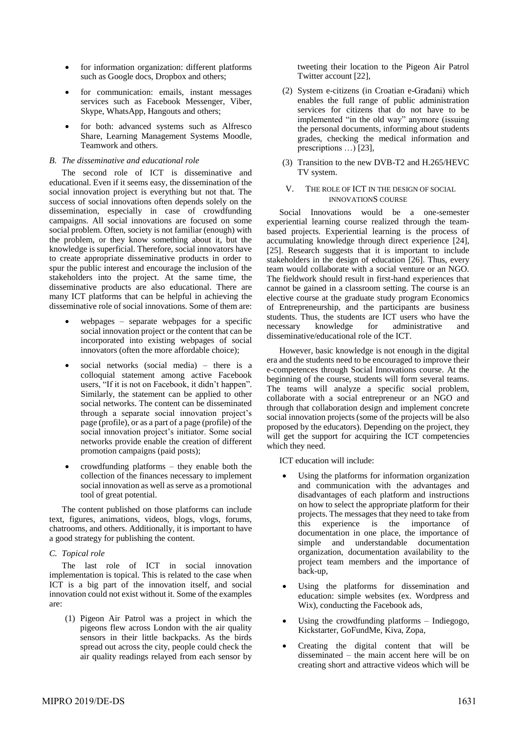- for information organization: different platforms such as Google docs, Dropbox and others;
- for communication: emails, instant messages services such as Facebook Messenger, Viber, Skype, WhatsApp, Hangouts and others;
- for both: advanced systems such as Alfresco Share, Learning Management Systems Moodle, Teamwork and others.

## *B. The disseminative and educational role*

The second role of ICT is disseminative and educational. Even if it seems easy, the dissemination of the social innovation project is everything but not that. The success of social innovations often depends solely on the dissemination, especially in case of crowdfunding campaigns. All social innovations are focused on some social problem. Often, society is not familiar (enough) with the problem, or they know something about it, but the knowledge is superficial. Therefore, social innovators have to create appropriate disseminative products in order to spur the public interest and encourage the inclusion of the stakeholders into the project. At the same time, the disseminative products are also educational. There are many ICT platforms that can be helpful in achieving the disseminative role of social innovations. Some of them are:

- webpages separate webpages for a specific social innovation project or the content that can be incorporated into existing webpages of social innovators (often the more affordable choice);
- social networks (social media)  $-$  there is a colloquial statement among active Facebook users, "If it is not on Facebook, it didn't happen". Similarly, the statement can be applied to other social networks. The content can be disseminated through a separate social innovation project's page (profile), or as a part of a page (profile) of the social innovation project's initiator. Some social networks provide enable the creation of different promotion campaigns (paid posts);
- crowdfunding platforms  $-$  they enable both the collection of the finances necessary to implement social innovation as well as serve as a promotional tool of great potential.

The content published on those platforms can include text, figures, animations, videos, blogs, vlogs, forums, chatrooms, and others. Additionally, it is important to have a good strategy for publishing the content.

## *C. Topical role*

The last role of ICT in social innovation implementation is topical. This is related to the case when ICT is a big part of the innovation itself, and social innovation could not exist without it. Some of the examples are:

(1) Pigeon Air Patrol was a project in which the pigeons flew across London with the air quality sensors in their little backpacks. As the birds spread out across the city, people could check the air quality readings relayed from each sensor by

tweeting their location to the Pigeon Air Patrol Twitter account [22],

- (2) System e-citizens (in Croatian e-Građani) which enables the full range of public administration services for citizens that do not have to be implemented "in the old way" anymore (issuing the personal documents, informing about students grades, checking the medical information and prescriptions …) [23],
- (3) Transition to the new DVB-T2 and H.265/HEVC TV system.

## V. THE ROLE OF ICT IN THE DESIGN OF SOCIAL INNOVATIONS COURSE

Social Innovations would be a one-semester experiential learning course realized through the teambased projects. Experiential learning is the process of accumulating knowledge through direct experience [24], [25]. Research suggests that it is important to include stakeholders in the design of education [26]. Thus, every team would collaborate with a social venture or an NGO. The fieldwork should result in first-hand experiences that cannot be gained in a classroom setting. The course is an elective course at the graduate study program Economics of Entrepreneurship, and the participants are business students. Thus, the students are ICT users who have the necessary knowledge for administrative and disseminative/educational role of the ICT.

However, basic knowledge is not enough in the digital era and the students need to be encouraged to improve their e-competences through Social Innovations course. At the beginning of the course, students will form several teams. The teams will analyze a specific social problem, collaborate with a social entrepreneur or an NGO and through that collaboration design and implement concrete social innovation projects (some of the projects will be also proposed by the educators). Depending on the project, they will get the support for acquiring the ICT competencies which they need.

ICT education will include:

- Using the platforms for information organization and communication with the advantages and disadvantages of each platform and instructions on how to select the appropriate platform for their projects. The messages that they need to take from this experience is the importance of documentation in one place, the importance of simple and understandable documentation organization, documentation availability to the project team members and the importance of back-up,
- Using the platforms for dissemination and education: simple websites (ex. Wordpress and Wix), conducting the Facebook ads,
- Using the crowdfunding platforms Indiegogo, Kickstarter, GoFundMe, Kiva, Zopa,
- Creating the digital content that will be disseminated – the main accent here will be on creating short and attractive videos which will be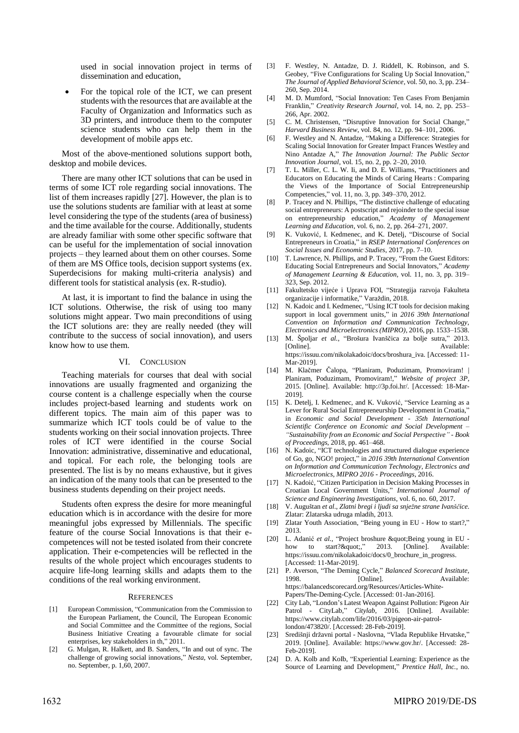used in social innovation project in terms of dissemination and education,

• For the topical role of the ICT, we can present students with the resources that are available at the Faculty of Organization and Informatics such as 3D printers, and introduce them to the computer science students who can help them in the development of mobile apps etc.

Most of the above-mentioned solutions support both, desktop and mobile devices.

There are many other ICT solutions that can be used in terms of some ICT role regarding social innovations. The list of them increases rapidly [27]. However, the plan is to use the solutions students are familiar with at least at some level considering the type of the students (area of business) and the time available for the course. Additionally, students are already familiar with some other specific software that can be useful for the implementation of social innovation projects – they learned about them on other courses. Some of them are MS Office tools, decision support systems (ex. Superdecisions for making multi-criteria analysis) and different tools for statistical analysis (ex. R-studio).

At last, it is important to find the balance in using the ICT solutions. Otherwise, the risk of using too many solutions might appear. Two main preconditions of using the ICT solutions are: they are really needed (they will contribute to the success of social innovation), and users know how to use them.

#### VI. CONCLUSION

Teaching materials for courses that deal with social innovations are usually fragmented and organizing the course content is a challenge especially when the course includes project-based learning and students work on different topics. The main aim of this paper was to summarize which ICT tools could be of value to the students working on their social innovation projects. Three roles of ICT were identified in the course Social Innovation: administrative, disseminative and educational, and topical. For each role, the belonging tools are presented. The list is by no means exhaustive, but it gives an indication of the many tools that can be presented to the business students depending on their project needs.

Students often express the desire for more meaningful education which is in accordance with the desire for more meaningful jobs expressed by Millennials. The specific feature of the course Social Innovations is that their ecompetences will not be tested isolated from their concrete application. Their e-competencies will be reflected in the results of the whole project which encourages students to acquire life-long learning skills and adapts them to the conditions of the real working environment.

#### **REFERENCES**

- [1] European Commission, "Communication from the Commission to the European Parliament, the Council, The European Economic and Social Committee and the Committee of the regions, Social Business Initiative Creating a favourable climate for social enterprises, key stakeholders in th," 2011.
- [2] G. Mulgan, R. Halkett, and B. Sanders, "In and out of sync. The challenge of growing social innovations," *Nesta*, vol. September, no. September, p. 1,60, 2007.
- [3] F. Westley, N. Antadze, D. J. Riddell, K. Robinson, and S. Geobey, "Five Configurations for Scaling Up Social Innovation," *The Journal of Applied Behavioral Science*, vol. 50, no. 3, pp. 234– 260, Sep. 2014.
- [4] M. D. Mumford, "Social Innovation: Ten Cases From Benjamin Franklin," *Creativity Research Journal*, vol. 14, no. 2, pp. 253– 266, Apr. 2002.
- [5] C. M. Christensen, "Disruptive Innovation for Social Change," *Harvard Business Review*, vol. 84, no. 12, pp. 94–101, 2006.
- [6] F. Westley and N. Antadze, "Making a Difference: Strategies for Scaling Social Innovation for Greater Impact Frances Westley and Nino Antadze A," *The Innovation Journal: The Public Sector Innovation Journal*, vol. 15, no. 2, pp. 2–20, 2010.
- [7] T. L. Miller, C. L. W. Ii, and D. E. Williams, "Practitioners and Educators on Educating the Minds of Caring Hearts : Comparing the Views of the Importance of Social Entrepreneurship Competencies," vol. 11, no. 3, pp. 349–370, 2012.
- [8] P. Tracey and N. Phillips, "The distinctive challenge of educating social entrepreneurs: A postscript and rejoinder to the special issue on entrepreneurship education," *Academy of Management Learning and Education*, vol. 6, no. 2, pp. 264–271, 2007.
- [9] K. Vuković, I. Kedmenec, and K. Detelj, "Discourse of Social Entrepreneurs in Croatia," in *RSEP International Conferences on Social Issues and Economic Studies*, 2017, pp. 7–10.
- [10] T. Lawrence, N. Phillips, and P. Tracey, "From the Guest Editors: Educating Social Entrepreneurs and Social Innovators," *Academy of Management Learning & Education*, vol. 11, no. 3, pp. 319– 323, Sep. 2012.
- [11] Fakultetsko vijeće i Uprava FOI, "Strategija razvoja Fakulteta organizacije i informatike," Varaždin, 2018.
- [12] N. Kadoic and I. Kedmenec, "Using ICT tools for decision making support in local government units," in *2016 39th International Convention on Information and Communication Technology, Electronics and Microelectronics (MIPRO)*, 2016, pp. 1533–1538.
- [13] M. Špoljar *et al.*, "Brošura Ivanščica za bolje sutra," 2013. [Online]. Available: https://issuu.com/nikolakadoic/docs/broshura\_iva. [Accessed: 11- Mar-2019].
- [14] M. Klačmer Čalopa, "Planiram, Poduzimam, Promoviram! | Planiram, Poduzimam, Promoviram!," *Website of project 3P*, 2015. [Online]. Available: http://3p.foi.hr/. [Accessed: 18-Mar-2019].
- [15] K. Detelj, I. Kedmenec, and K. Vuković, "Service Learning as a Lever for Rural Social Entrepreneurship Development in Croatia,' in *Economic and Social Development - 35th International Scientific Conference on Economic and Social Development – "Sustainability from an Economic and Social Perspective" - Book of Proceedings*, 2018, pp. 461–468.
- [16] N. Kadoic, "ICT technologies and structured dialogue experience of Go, go, NGO! project," in *2016 39th International Convention on Information and Communication Technology, Electronics and Microelectronics, MIPRO 2016 - Proceedings*, 2016.
- [17] N. Kadoić, "Citizen Participation in Decision Making Processes in Croatian Local Government Units," *International Journal of Science and Engineering Investigations*, vol. 6, no. 60, 2017.
- [18] V. Auguštan *et al.*, *Zlatni bregi i ljudi sa snježne strane Ivanščice*. Zlatar: Zlatarska udruga mladih, 2013.
- [19] Zlatar Youth Association, "Being young in EU How to start?," 2013.
- [20] L. Adanić *et al.*, "Project broshure " Being young in EU how to start? "," 2013. [Online]. Available: how to start?"," 2013. [Online]. Available: https://issuu.com/nikolakadoic/docs/0\_brochure\_in\_progress. [Accessed: 11-Mar-2019].
- [21] P. Averson, "The Deming Cycle," *Balanced Scorecard Institute*, 1998. [Online]. Available: https://balancedscorecard.org/Resources/Articles-White-Papers/The-Deming-Cycle. [Accessed: 01-Jan-2016].
- [22] City Lab, "London's Latest Weapon Against Pollution: Pigeon Air Patrol - CityLab," *Citylab*, 2016. [Online]. Available: https://www.citylab.com/life/2016/03/pigeon-air-patrollondon/473820/. [Accessed: 28-Feb-2019].
- [23] Središnji državni portal Naslovna, "Vlada Republike Hrvatske," 2019. [Online]. Available: https://www.gov.hr/. [Accessed: 28- Feb-2019].
- [24] D. A. Kolb and KoIb, "Experiential Learning: Experience as the Source of Learning and Development," *Prentice Hall, Inc.*, no.